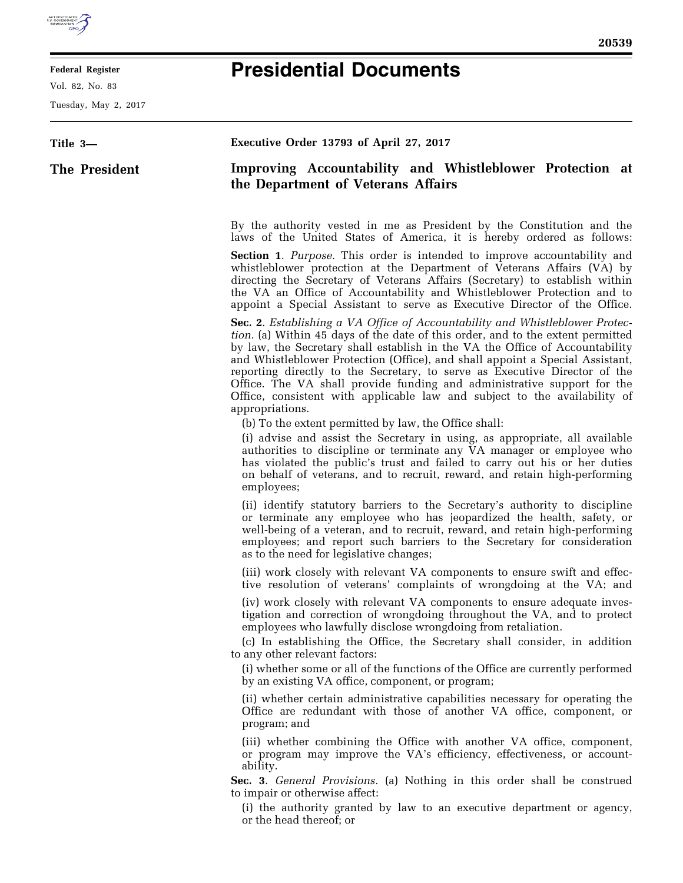

## **Federal Register**

Vol. 82, No. 83

Tuesday, May 2, 2017

## **Presidential Documents**

| Title 3-      | Executive Order 13793 of April 27, 2017                                                                                                                                                                                                                                                                                                                                                                                                                                                                                                                                                                 |
|---------------|---------------------------------------------------------------------------------------------------------------------------------------------------------------------------------------------------------------------------------------------------------------------------------------------------------------------------------------------------------------------------------------------------------------------------------------------------------------------------------------------------------------------------------------------------------------------------------------------------------|
| The President | Improving Accountability and Whistleblower Protection at<br>the Department of Veterans Affairs                                                                                                                                                                                                                                                                                                                                                                                                                                                                                                          |
|               | By the authority vested in me as President by the Constitution and the<br>laws of the United States of America, it is hereby ordered as follows:                                                                                                                                                                                                                                                                                                                                                                                                                                                        |
|               | <b>Section 1.</b> Purpose. This order is intended to improve accountability and<br>whistleblower protection at the Department of Veterans Affairs (VA) by<br>directing the Secretary of Veterans Affairs (Secretary) to establish within<br>the VA an Office of Accountability and Whistleblower Protection and to<br>appoint a Special Assistant to serve as Executive Director of the Office.                                                                                                                                                                                                         |
|               | <b>Sec. 2.</b> Establishing a VA Office of Accountability and Whistleblower Protec-<br><i>tion.</i> (a) Within 45 days of the date of this order, and to the extent permitted<br>by law, the Secretary shall establish in the VA the Office of Accountability<br>and Whistleblower Protection (Office), and shall appoint a Special Assistant,<br>reporting directly to the Secretary, to serve as Executive Director of the<br>Office. The VA shall provide funding and administrative support for the<br>Office, consistent with applicable law and subject to the availability of<br>appropriations. |
|               | (b) To the extent permitted by law, the Office shall:<br>(i) advise and assist the Secretary in using, as appropriate, all available<br>authorities to discipline or terminate any VA manager or employee who<br>has violated the public's trust and failed to carry out his or her duties<br>on behalf of veterans, and to recruit, reward, and retain high-performing<br>employees;                                                                                                                                                                                                                   |
|               | (ii) identify statutory barriers to the Secretary's authority to discipline<br>or terminate any employee who has jeopardized the health, safety, or<br>well-being of a veteran, and to recruit, reward, and retain high-performing<br>employees; and report such barriers to the Secretary for consideration<br>as to the need for legislative changes;                                                                                                                                                                                                                                                 |
|               | (iii) work closely with relevant VA components to ensure swift and effec-<br>tive resolution of veterans' complaints of wrongdoing at the VA; and                                                                                                                                                                                                                                                                                                                                                                                                                                                       |
|               | (iv) work closely with relevant VA components to ensure adequate inves-<br>tigation and correction of wrongdoing throughout the VA, and to protect<br>employees who lawfully disclose wrongdoing from retaliation.                                                                                                                                                                                                                                                                                                                                                                                      |
|               | (c) In establishing the Office, the Secretary shall consider, in addition<br>to any other relevant factors:                                                                                                                                                                                                                                                                                                                                                                                                                                                                                             |
|               | (i) whether some or all of the functions of the Office are currently performed<br>by an existing VA office, component, or program;                                                                                                                                                                                                                                                                                                                                                                                                                                                                      |
|               | (ii) whether certain administrative capabilities necessary for operating the<br>Office are redundant with those of another VA office, component, or<br>program; and                                                                                                                                                                                                                                                                                                                                                                                                                                     |
|               | (iii) whether combining the Office with another VA office, component,<br>or program may improve the VA's efficiency, effectiveness, or account-<br>ability.                                                                                                                                                                                                                                                                                                                                                                                                                                             |
|               | Sec. 3. General Provisions. (a) Nothing in this order shall be construed<br>to impair or otherwise affect:                                                                                                                                                                                                                                                                                                                                                                                                                                                                                              |
|               | (i) the authority granted by law to an executive department or agency,<br>or the head thereof; or                                                                                                                                                                                                                                                                                                                                                                                                                                                                                                       |
|               |                                                                                                                                                                                                                                                                                                                                                                                                                                                                                                                                                                                                         |